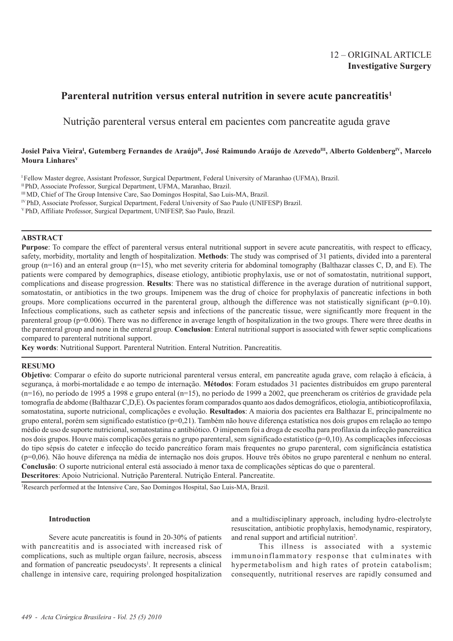## 12 – ORIGINAL ARTICLE **Investigative Surgery**

# **Parenteral nutrition versus enteral nutrition in severe acute pancreatitis1**

Nutrição parenteral versus enteral em pacientes com pancreatite aguda grave

### Josiel Paiva Vieira<sup>i</sup>, Gutemberg Fernandes de Araújo<sup>n</sup>, José Raimundo Araújo de Azevedo<sup>m</sup>, Alberto Goldenberg<sup>iv</sup>, Marcelo **Moura LinharesV**

I Fellow Master degree, Assistant Professor, Surgical Department, Federal University of Maranhao (UFMA), Brazil.

II PhD, Associate Professor, Surgical Department, UFMA, Maranhao, Brazil.

IV PhD, Associate Professor, Surgical Department, Federal University of Sao Paulo (UNIFESP) Brazil.

V PhD, Affiliate Professor, Surgical Department, UNIFESP, Sao Paulo, Brazil.

### **ABSTRACT**

**Purpose**: To compare the effect of parenteral versus enteral nutritional support in severe acute pancreatitis, with respect to efficacy, safety, morbidity, mortality and length of hospitalization. **Methods**: The study was comprised of 31 patients, divided into a parenteral group ( $n=16$ ) and an enteral group ( $n=15$ ), who met severity criteria for abdominal tomography (Balthazar classes C, D, and E). The patients were compared by demographics, disease etiology, antibiotic prophylaxis, use or not of somatostatin, nutritional support, complications and disease progression. **Results**: There was no statistical difference in the average duration of nutritional support, somatostatin, or antibiotics in the two groups. Imipenem was the drug of choice for prophylaxis of pancreatic infections in both groups. More complications occurred in the parenteral group, although the difference was not statistically significant  $(p=0.10)$ . Infectious complications, such as catheter sepsis and infections of the pancreatic tissue, were significantly more frequent in the parenteral group (p=0.006). There was no difference in average length of hospitalization in the two groups. There were three deaths in the parenteral group and none in the enteral group. **Conclusion**: Enteral nutritional support is associated with fewer septic complications compared to parenteral nutritional support.

**Key words**: Nutritional Support. Parenteral Nutrition. Enteral Nutrition. Pancreatitis.

#### **RESUMO**

**Objetivo**: Comparar o efeito do suporte nutricional parenteral versus enteral, em pancreatite aguda grave, com relação à eficácia, à segurança, à morbi-mortalidade e ao tempo de internação. **Métodos**: Foram estudados 31 pacientes distribuídos em grupo parenteral (n=16), no período de 1995 a 1998 e grupo enteral (n=15), no período de 1999 a 2002, que preencheram os critérios de gravidade pela tomografia de abdome (Balthazar C,D,E). Os pacientes foram comparados quanto aos dados demográficos, etiologia, antibioticoprofilaxia, somatostatina, suporte nutricional, complicações e evolução. **Resultados**: A maioria dos pacientes era Balthazar E, principalmente no grupo enteral, porém sem significado estatístico (p=0,21). Também não houve diferença estatística nos dois grupos em relação ao tempo médio de uso de suporte nutricional, somatostatina e antibiótico. O imipenem foi a droga de escolha para profilaxia da infecção pancreática nos dois grupos. Houve mais complicações gerais no grupo parenteral, sem significado estatístico (p=0,10). As complicações infecciosas do tipo sépsis do cateter e infecção do tecido pancreático foram mais frequentes no grupo parenteral, com significância estatística (p=0,06). Não houve diferença na média de internação nos dois grupos. Houve três óbitos no grupo parenteral e nenhum no enteral. **Conclusão**: O suporte nutricional enteral está associado à menor taxa de complicações sépticas do que o parenteral. **Descritores**: Apoio Nutricional. Nutrição Parenteral. Nutrição Enteral. Pancreatite.

1 Research performed at the Intensive Care, Sao Domingos Hospital, Sao Luis-MA, Brazil.

#### **Introduction**

Severe acute pancreatitis is found in 20-30% of patients with pancreatitis and is associated with increased risk of complications, such as multiple organ failure, necrosis, abscess and formation of pancreatic pseudocysts<sup>1</sup>. It represents a clinical challenge in intensive care, requiring prolonged hospitalization and a multidisciplinary approach, including hydro-electrolyte resuscitation, antibiotic prophylaxis, hemodynamic, respiratory, and renal support and artificial nutrition<sup>2</sup>.

This illness is associated with a systemic immunoinflammatory response that culminates with hypermetabolism and high rates of protein catabolism; consequently, nutritional reserves are rapidly consumed and

<sup>&</sup>lt;sup>III</sup> MD, Chief of The Group Intensive Care, Sao Domingos Hospital, Sao Luis-MA, Brazil.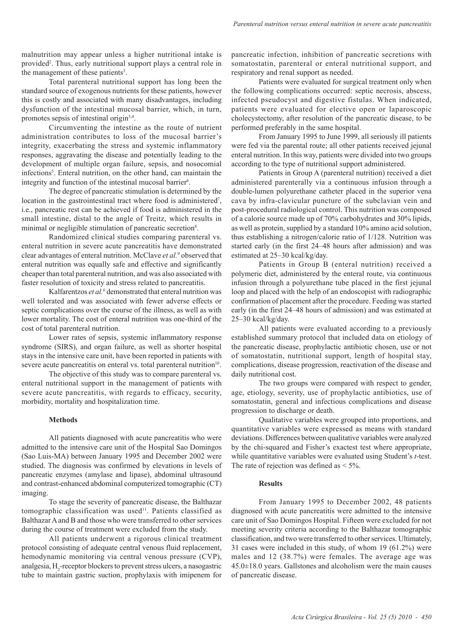malnutrition may appear unless a higher nutritional intake is provided<sup>2</sup>. Thus, early nutritional support plays a central role in the management of these patients<sup>3</sup>.

Total parenteral nutritional support has long been the standard source of exogenous nutrients for these patients, however this is costly and associated with many disadvantages, including dysfunction of the intestinal mucosal barrier, which, in turn, promotes sepsis of intestinal origin<sup>3,4</sup>.

Circumventing the intestine as the route of nutrient administration contributes to loss of the mucosal barrier's integrity, exacerbating the stress and systemic inflammatory responses, aggravating the disease and potentially leading to the development of multiple organ failure, sepsis, and nosocomial infections<sup>5</sup>. Enteral nutrition, on the other hand, can maintain the integrity and function of the intestinal mucosal barrier<sup>6</sup>.

The degree of pancreatic stimulation is determined by the location in the gastrointestinal tract where food is administered<sup>7</sup>, i.e., pancreatic rest can be achieved if food is administered in the small intestine, distal to the angle of Treitz, which results in minimal or negligible stimulation of pancreatic secretion<sup>8</sup>.

Randomized clinical studies comparing parenteral vs. enteral nutrition in severe acute pancreatitis have demonstrated clear advantages of enteral nutrition. McClave *et al.*<sup>9</sup> observed that enteral nutrition was equally safe and effective and significantly cheaper than total parenteral nutrition, and was also associated with faster resolution of toxicity and stress related to pancreatitis.

Kalfarentzos et al.<sup>6</sup> demonstrated that enteral nutrition was well tolerated and was associated with fewer adverse effects or septic complications over the course of the illness, as well as with lower mortality. The cost of enteral nutrition was one-third of the cost of total parenteral nutrition.

Lower rates of sepsis, systemic inflammatory response syndrome (SIRS), and organ failure, as well as shorter hospital stays in the intensive care unit, have been reported in patients with severe acute pancreatitis on enteral vs. total parenteral nutrition<sup>10</sup>.

The objective of this study was to compare parenteral vs. enteral nutritional support in the management of patients with severe acute pancreatitis, with regards to efficacy, security, morbidity, mortality and hospitalization time.

#### **Methods**

All patients diagnosed with acute pancreatitis who were admitted to the intensive care unit of the Hospital Sao Domingos (Sao Luis-MA) between January 1995 and December 2002 were studied. The diagnosis was confirmed by elevations in levels of pancreatic enzymes (amylase and lipase), abdominal ultrasound and contrast-enhanced abdominal computerized tomographic (CT) imaging.

To stage the severity of pancreatic disease, the Balthazar tomographic classification was used<sup>11</sup>. Patients classified as Balthazar A and B and those who were transferred to other services during the course of treatment were excluded from the study.

All patients underwent a rigorous clinical treatment protocol consisting of adequate central venous fluid replacement, hemodynamic monitoring via central venous pressure (CVP), analgesia, H<sub>2</sub>-receptor blockers to prevent stress ulcers, a nasogastric tube to maintain gastric suction, prophylaxis with imipenem for pancreatic infection, inhibition of pancreatic secretions with somatostatin, parenteral or enteral nutritional support, and respiratory and renal support as needed.

Patients were evaluated for surgical treatment only when the following complications occurred: septic necrosis, abscess, infected pseudocyst and digestive fistulas. When indicated, patients were evaluated for elective open or laparoscopic cholecystectomy, after resolution of the pancreatic disease, to be performed preferably in the same hospital.

From January 1995 to June 1999, all seriously ill patients were fed via the parental route; all other patients received jejunal enteral nutrition. In this way, patients were divided into two groups according to the type of nutritional support administered.

Patients in Group A (parenteral nutrition) received a diet administered parenterally via a continuous infusion through a double-lumen polyurethane catheter placed in the superior vena cava by infra-clavicular puncture of the subclavian vein and post-procedural radiological control. This nutrition was composed of a calorie source made up of 70% carbohydrates and 30% lipids, as well as protein, supplied by a standard 10% amino acid solution, thus establishing a nitrogen/calorie ratio of 1/128. Nutrition was started early (in the first 24–48 hours after admission) and was estimated at 25–30 kcal/kg/day.

Patients in Group B (enteral nutrition) received a polymeric diet, administered by the enteral route, via continuous infusion through a polyurethane tube placed in the first jejunal loop and placed with the help of an endoscopist with radiographic confirmation of placement after the procedure. Feeding was started early (in the first 24–48 hours of admission) and was estimated at 25–30 kcal/kg/day.

All patients were evaluated according to a previously established summary protocol that included data on etiology of the pancreatic disease, prophylactic antibiotic chosen, use or not of somatostatin, nutritional support, length of hospital stay, complications, disease progression, reactivation of the disease and daily nutritional cost.

The two groups were compared with respect to gender, age, etiology, severity, use of prophylactic antibiotics, use of somatostatin, general and infectious complications and disease progression to discharge or death.

Qualitative variables were grouped into proportions, and quantitative variables were expressed as means with standard deviations. Differences between qualitative variables were analyzed by the chi-squared and Fisher's exactest test where appropriate, while quantitative variables were evaluated using Student's *t*-test. The rate of rejection was defined as  $\leq 5\%$ .

#### **Results**

From January 1995 to December 2002, 48 patients diagnosed with acute pancreatitis were admitted to the intensive care unit of Sao Domingos Hospital. Fifteen were excluded for not meeting severity criteria according to the Balthazar tomographic classification, and two were transferred to other services. Ultimately, 31 cases were included in this study, of whom 19 (61.2%) were males and 12 (38.7%) were females. The average age was 45.0±18.0 years. Gallstones and alcoholism were the main causes of pancreatic disease.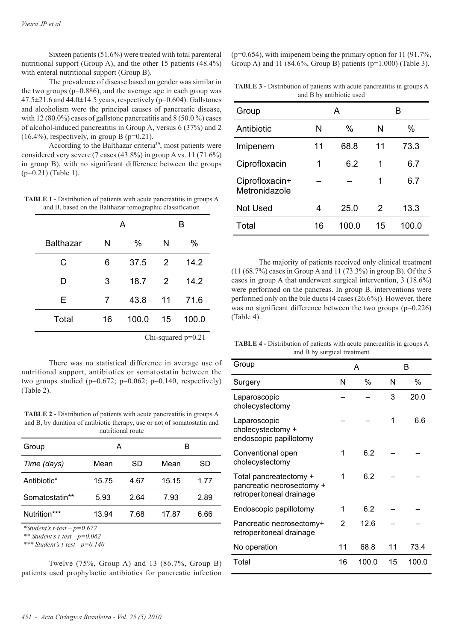Sixteen patients (51.6%) were treated with total parenteral nutritional support (Group A), and the other 15 patients (48.4%) with enteral nutritional support (Group B).

The prevalence of disease based on gender was similar in the two groups  $(p=0.886)$ , and the average age in each group was  $47.5\pm21.6$  and  $44.0\pm14.5$  years, respectively (p=0.604). Gallstones and alcoholism were the principal causes of pancreatic disease, with 12 (80.0%) cases of gallstone pancreatitis and 8 (50.0%) cases of alcohol-induced pancreatitis in Group A, versus 6 (37%) and 2  $(16.4\%)$ , respectively, in group B (p=0.21).

According to the Balthazar criteria<sup>19</sup>, most patients were considered very severe (7 cases (43.8%) in group A vs. 11 (71.6%) in group B), with no significant difference between the groups (p=0.21) (Table 1).

**TABLE 1 -** Distribution of patients with acute pancreatitis in groups A and B, based on the Balthazar tomographic classification

|                  | A  |               | в  |             |  |
|------------------|----|---------------|----|-------------|--|
| <b>Balthazar</b> | N  | $\%$          | N  | $\%$        |  |
| C                | 6  | 37.5          | 2  | 14.2        |  |
| D                | 3  | 18.7          | 2  | 14.2        |  |
| E                | 7  | 43.8          | 11 | 71.6        |  |
| Total            | 16 | 100.0         | 15 | 100.0       |  |
|                  |    | $\sim$ $\sim$ |    | $\sim$ 0.01 |  |

Chi-squared p=0.21

There was no statistical difference in average use of nutritional support, antibiotics or somatostatin between the two groups studied ( $p=0.672$ ;  $p=0.062$ ;  $p=0.140$ , respectively) (Table 2).

**TABLE 2 -** Distribution of patients with acute pancreatitis in groups A and B, by duration of antibiotic therapy, use or not of somatostatin and nutritional route

| Group          |       | А    |       |      |
|----------------|-------|------|-------|------|
| Time (days)    | Mean  | SD   | Mean  | SD   |
| Antibiotic*    | 15.75 | 4.67 | 15.15 | 1.77 |
| Somatostatin** | 5.93  | 2.64 | 7.93  | 2.89 |
| Nutrition***   | 13.94 | 7.68 | 17.87 | 6.66 |

*\*Student's t-test – p=0.672*

*\*\* Student's t-test - p=0.062*

*\*\*\* Student's t-test - p=0.140*

Twelve (75%, Group A) and 13 (86.7%, Group B) patients used prophylactic antibiotics for pancreatic infection (p=0.654), with imipenem being the primary option for 11 (91.7%, Group A) and 11 (84.6%, Group B) patients (p=1.000) (Table 3).

**TABLE 3 -** Distribution of patients with acute pancreatitis in groups A and B by antibiotic used

| Group                           | А  |       | в             |       |  |
|---------------------------------|----|-------|---------------|-------|--|
| Antibiotic                      | N  | $\%$  | N             | $\%$  |  |
| Imipenem                        | 11 | 68.8  | 11            | 73.3  |  |
| Ciprofloxacin                   | 1  | 6.2   | 1             | 6.7   |  |
| Ciprofloxacin+<br>Metronidazole |    |       | 1             | 6.7   |  |
| <b>Not Used</b>                 | 4  | 25.0  | $\mathcal{P}$ | 13.3  |  |
| Total                           | 16 | 100.0 | 15            | 100.0 |  |

The majority of patients received only clinical treatment (11 (68.7%) cases in Group A and 11 (73.3%) in group B). Of the 5 cases in group A that underwent surgical intervention, 3 (18.6%) were performed on the pancreas. In group B, interventions were performed only on the bile ducts (4 cases (26.6%)). However, there was no significant difference between the two groups (p=0.226) (Table 4).

**TABLE 4 -** Distribution of patients with acute pancreatitis in groups A and B by surgical treatment

| Group                                                                           | A  |       | в  |       |
|---------------------------------------------------------------------------------|----|-------|----|-------|
| Surgery                                                                         | N  | $\%$  | N  | $\%$  |
| Laparoscopic<br>cholecystectomy                                                 |    |       | 3  | 20.0  |
| Laparoscopic<br>cholecystectomy +<br>endoscopic papillotomy                     |    |       | 1  | 6.6   |
| Conventional open<br>cholecystectomy                                            | 1  | 6.2   |    |       |
| Total pancreatectomy +<br>pancreatic necrosectomy +<br>retroperitoneal drainage | 1  | 6.2   |    |       |
| Endoscopic papillotomy                                                          | 1  | 6.2   |    |       |
| Pancreatic necrosectomy+<br>retroperitoneal drainage                            | 2  | 12.6  |    |       |
| No operation                                                                    | 11 | 68.8  | 11 | 73.4  |
| Total                                                                           | 16 | 100.0 | 15 | 100.0 |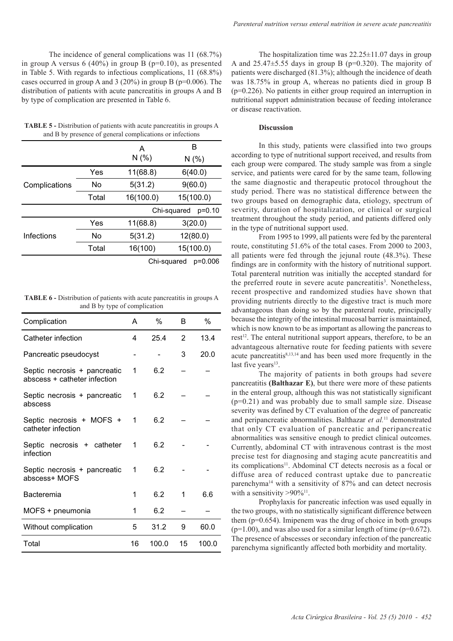The incidence of general complications was 11 (68.7%) in group A versus 6 (40%) in group B ( $p=0.10$ ), as presented in Table 5. With regards to infectious complications, 11 (68.8%) cases occurred in group A and 3 (20%) in group B (p=0.006). The distribution of patients with acute pancreatitis in groups A and B by type of complication are presented in Table 6.

**TABLE 5 -** Distribution of patients with acute pancreatitis in groups A and B by presence of general complications or infections

|               |       | А                       | B         |  |  |
|---------------|-------|-------------------------|-----------|--|--|
|               |       |                         | N(% )     |  |  |
| Complications | Yes   | 11(68.8)                | 6(40.0)   |  |  |
|               | No    | 5(31.2)                 | 9(60.0)   |  |  |
|               | Total | 16(100.0)               | 15(100.0) |  |  |
|               |       | Chi-squared<br>$p=0.10$ |           |  |  |
|               | Yes   | 11(68.8)                | 3(20.0)   |  |  |
| Infections    | No    | 5(31.2)                 | 12(80.0)  |  |  |
|               | Total | 16(100)                 | 15(100.0) |  |  |
|               |       |                         |           |  |  |

Chi-squared p=0.006

**TABLE 6 -** Distribution of patients with acute pancreatitis in groups A and B by type of complication

| Complication                                                 | A  | $\%$  | в  | %     |
|--------------------------------------------------------------|----|-------|----|-------|
| Catheter infection                                           | 4  | 25.4  | 2  | 13.4  |
| Pancreatic pseudocyst                                        |    |       | 3  | 20.0  |
| Septic necrosis + pancreatic<br>abscess + catheter infection | 1  | 6.2   |    |       |
| Septic necrosis + pancreatic<br>abscess                      | 1  | 6.2   |    |       |
| Septic necrosis + MOFS +<br>catheter infection               | 1  | 6.2   |    |       |
| Septic necrosis + catheter<br>infection                      | 1  | 6.2   |    |       |
| Septic necrosis + pancreatic<br>abscess+ MOFS                | 1  | 6.2   |    |       |
| Bacteremia                                                   | 1  | 6.2   | 1  | 6.6   |
| MOFS + pneumonia                                             | 1  | 6.2   |    |       |
| Without complication                                         | 5  | 31.2  | 9  | 60.0  |
| Total                                                        | 16 | 100.0 | 15 | 100.0 |

The hospitalization time was  $22.25 \pm 11.07$  days in group A and  $25.47\pm5.55$  days in group B (p=0.320). The majority of patients were discharged (81.3%); although the incidence of death was 18.75% in group A, whereas no patients died in group B (p=0.226). No patients in either group required an interruption in nutritional support administration because of feeding intolerance or disease reactivation.

#### **Discussion**

In this study, patients were classified into two groups according to type of nutritional support received, and results from each group were compared. The study sample was from a single service, and patients were cared for by the same team, following the same diagnostic and therapeutic protocol throughout the study period. There was no statistical difference between the two groups based on demographic data, etiology, spectrum of severity, duration of hospitalization, or clinical or surgical treatment throughout the study period, and patients differed only in the type of nutritional support used.

From 1995 to 1999, all patients were fed by the parenteral route, constituting 51.6% of the total cases. From 2000 to 2003, all patients were fed through the jejunal route (48.3%). These findings are in conformity with the history of nutritional support. Total parenteral nutrition was initially the accepted standard for the preferred route in severe acute pancreatitis<sup>3</sup>. Nonetheless, recent prospective and randomized studies have shown that providing nutrients directly to the digestive tract is much more advantageous than doing so by the parenteral route, principally because the integrity of the intestinal mucosal barrier is maintained, which is now known to be as important as allowing the pancreas to rest<sup>12</sup>. The enteral nutritional support appears, therefore, to be an advantageous alternative route for feeding patients with severe acute pancreatitis $8,13,14$  and has been used more frequently in the last five years<sup>13</sup>.

The majority of patients in both groups had severe pancreatitis **(Balthazar E)**, but there were more of these patients in the enteral group, although this was not statistically significant  $(p=0.21)$  and was probably due to small sample size. Disease severity was defined by CT evaluation of the degree of pancreatic and peripancreatic abnormalities. Balthazar *et al.*11 demonstrated that only CT evaluation of pancreatic and peripancreatic abnormalities was sensitive enough to predict clinical outcomes. Currently, abdominal CT with intravenous contrast is the most precise test for diagnosing and staging acute pancreatitis and its complications<sup>11</sup>. Abdominal CT detects necrosis as a focal or diffuse area of reduced contrast uptake due to pancreatic parenchyma<sup>14</sup> with a sensitivity of  $87\%$  and can detect necrosis with a sensitivity  $> 90\%$ <sup>11</sup>.

Prophylaxis for pancreatic infection was used equally in the two groups, with no statistically significant difference between them  $(p=0.654)$ . Imipenem was the drug of choice in both groups  $(p=1.00)$ , and was also used for a similar length of time ( $p=0.672$ ). The presence of abscesses or secondary infection of the pancreatic parenchyma significantly affected both morbidity and mortality.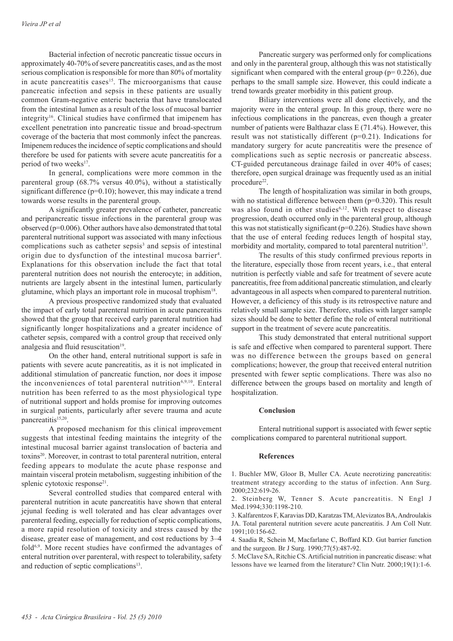Bacterial infection of necrotic pancreatic tissue occurs in approximately 40-70% of severe pancreatitis cases, and as the most serious complication is responsible for more than 80% of mortality in acute pancreatitis cases<sup>15</sup>. The microorganisms that cause pancreatic infection and sepsis in these patients are usually common Gram-negative enteric bacteria that have translocated from the intestinal lumen as a result of the loss of mucosal barrier integrity16. Clinical studies have confirmed that imipenem has excellent penetration into pancreatic tissue and broad-spectrum coverage of the bacteria that most commonly infect the pancreas. Imipenem reduces the incidence of septic complications and should therefore be used for patients with severe acute pancreatitis for a period of two weeks<sup>17</sup>.

In general, complications were more common in the parenteral group (68.7% versus 40.0%), without a statistically significant difference (p=0.10); however, this may indicate a trend towards worse results in the parenteral group.

A significantly greater prevalence of catheter, pancreatic and peripancreatic tissue infections in the parenteral group was observed (p=0.006). Other authors have also demonstrated that total parenteral nutritional support was associated with many infectious complications such as catheter sepsis<sup>3</sup> and sepsis of intestinal origin due to dysfunction of the intestinal mucosa barrier<sup>4</sup>. Explanations for this observation include the fact that total parenteral nutrition does not nourish the enterocyte; in addition, nutrients are largely absent in the intestinal lumen, particularly glutamine, which plays an important role in mucosal trophism<sup>18</sup>.

A previous prospective randomized study that evaluated the impact of early total parenteral nutrition in acute pancreatitis showed that the group that received early parenteral nutrition had significantly longer hospitalizations and a greater incidence of catheter sepsis, compared with a control group that received only analgesia and fluid resuscitation<sup>19</sup>.

On the other hand, enteral nutritional support is safe in patients with severe acute pancreatitis, as it is not implicated in additional stimulation of pancreatic function, nor does it impose the inconveniences of total parenteral nutrition<sup>6,9,10</sup>. Enteral nutrition has been referred to as the most physiological type of nutritional support and holds promise for improving outcomes in surgical patients, particularly after severe trauma and acute pancreatitis<sup>15,20</sup>.

A proposed mechanism for this clinical improvement suggests that intestinal feeding maintains the integrity of the intestinal mucosal barrier against translocation of bacteria and toxins20. Moreover, in contrast to total parenteral nutrition, enteral feeding appears to modulate the acute phase response and maintain visceral protein metabolism, suggesting inhibition of the splenic cytotoxic response<sup>21</sup>.

Several controlled studies that compared enteral with parenteral nutrition in acute pancreatitis have shown that enteral jejunal feeding is well tolerated and has clear advantages over parenteral feeding, especially for reduction of septic complications, a more rapid resolution of toxicity and stress caused by the disease, greater ease of management, and cost reductions by 3–4 fold<sup>6,9</sup>. More recent studies have confirmed the advantages of enteral nutrition over parenteral, with respect to tolerability, safety and reduction of septic complications<sup>13</sup>.

Pancreatic surgery was performed only for complications and only in the parenteral group, although this was not statistically significant when compared with the enteral group ( $p= 0.226$ ), due perhaps to the small sample size. However, this could indicate a trend towards greater morbidity in this patient group.

Biliary interventions were all done electively, and the majority were in the enteral group. In this group, there were no infectious complications in the pancreas, even though a greater number of patients were Balthazar class E (71.4%). However, this result was not statistically different (p=0.21). Indications for mandatory surgery for acute pancreatitis were the presence of complications such as septic necrosis or pancreatic abscess. CT-guided percutaneous drainage failed in over 40% of cases; therefore, open surgical drainage was frequently used as an initial procedure<sup>22</sup>.

The length of hospitalization was similar in both groups, with no statistical difference between them ( $p=0.320$ ). This result was also found in other studies<sup>6,12</sup>. With respect to disease progression, death occurred only in the parenteral group, although this was not statistically significant  $(p=0.226)$ . Studies have shown that the use of enteral feeding reduces length of hospital stay, morbidity and mortality, compared to total parenteral nutrition<sup>13</sup>.

The results of this study confirmed previous reports in the literature, especially those from recent years, i.e., that enteral nutrition is perfectly viable and safe for treatment of severe acute pancreatitis, free from additional pancreatic stimulation, and clearly advantageous in all aspects when compared to parenteral nutrition. However, a deficiency of this study is its retrospective nature and relatively small sample size. Therefore, studies with larger sample sizes should be done to better define the role of enteral nutritional support in the treatment of severe acute pancreatitis.

This study demonstrated that enteral nutritional support is safe and effective when compared to parenteral support. There was no difference between the groups based on general complications; however, the group that received enteral nutrition presented with fewer septic complications. There was also no difference between the groups based on mortality and length of hospitalization.

#### **Conclusion**

Enteral nutritional support is associated with fewer septic complications compared to parenteral nutritional support.

#### **References**

1. Buchler MW, Gloor B, Muller CA. Acute necrotizing pancreatitis: treatment strategy according to the status of infection. Ann Surg. 2000;232:619-26.

2. Steinberg W, Tenner S. Acute pancreatitis. N Engl J Med.1994;330:1198-210.

3. Kalfarentzos F, Karavias DD, Karatzas TM, Alevizatos BA, Androulakis JA. Total parenteral nutrition severe acute pancreatitis. J Am Coll Nutr. 1991;10:156-62.

4. Saadia R, Schein M, Macfarlane C, Boffard KD. Gut barrier function and the surgeon. Br J Surg. 1990;77(5):487-92.

5. McClave SA, Ritchie CS. Artificial nutrition in pancreatic disease: what lessons have we learned from the literature? Clin Nutr. 2000;19(1):1-6.